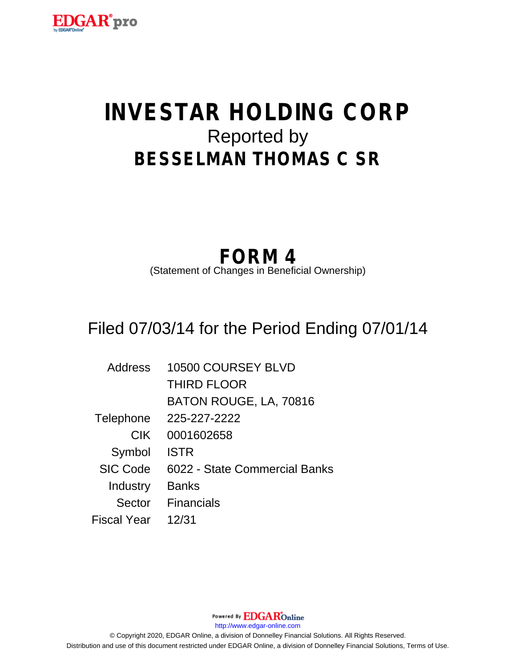

# **INVESTAR HOLDING CORP** Reported by **BESSELMAN THOMAS C SR**

## **FORM 4**

(Statement of Changes in Beneficial Ownership)

## Filed 07/03/14 for the Period Ending 07/01/14

| <b>Address</b>  | 10500 COURSEY BLVD            |
|-----------------|-------------------------------|
|                 | <b>THIRD FLOOR</b>            |
|                 | BATON ROUGE, LA, 70816        |
| Telephone       | 225-227-2222                  |
| <b>CIK</b>      | 0001602658                    |
| Symbol          | <b>ISTR</b>                   |
| <b>SIC Code</b> | 6022 - State Commercial Banks |
| Industry        | <b>Banks</b>                  |
| Sector          | <b>Financials</b>             |
| Fiscal Year     | 12/31                         |

Powered By **EDGAR**Online http://www.edgar-online.com © Copyright 2020, EDGAR Online, a division of Donnelley Financial Solutions. All Rights Reserved. Distribution and use of this document restricted under EDGAR Online, a division of Donnelley Financial Solutions, Terms of Use.